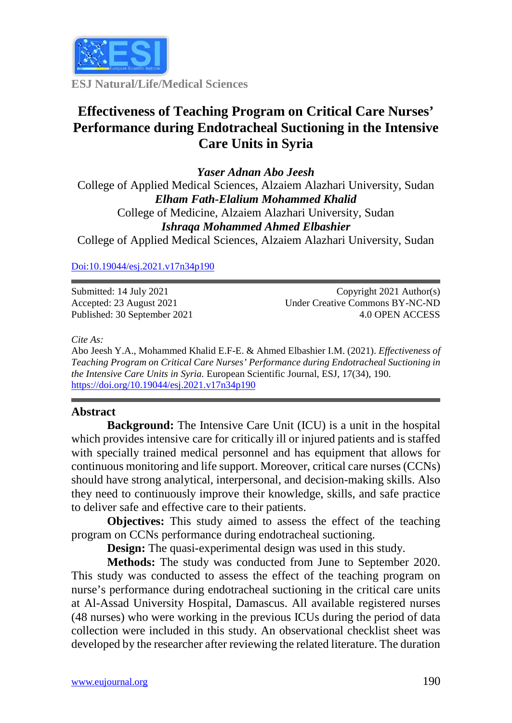

**ESJ Natural/Life/Medical Sciences**

# **Effectiveness of Teaching Program on Critical Care Nurses' Performance during Endotracheal Suctioning in the Intensive Care Units in Syria**

*Yaser Adnan Abo Jeesh* College of Applied Medical Sciences, Alzaiem Alazhari University, Sudan *Elham Fath-Elalium Mohammed Khalid* College of Medicine, Alzaiem Alazhari University, Sudan *Ishraqa Mohammed Ahmed Elbashier* College of Applied Medical Sciences, Alzaiem Alazhari University, Sudan

## [Doi:10.19044/esj.2021.v17n34p190](https://doi.org/10.19044/esj.2021.v17n29p1)

Submitted: 14 July 2021 Accepted: 23 August 2021 Published: 30 September 2021

Copyright 2021 Author(s) Under Creative Commons BY-NC-ND 4.0 OPEN ACCESS

*Cite As:*

Abo Jeesh Y.A., Mohammed Khalid E.F-E. & Ahmed Elbashier I.M. (2021). *Effectiveness of Teaching Program on Critical Care Nurses' Performance during Endotracheal Suctioning in the Intensive Care Units in Syria.* European Scientific Journal, ESJ, 17(34), 190. <https://doi.org/10.19044/esj.2021.v17n34p190>

## **Abstract**

**Background:** The Intensive Care Unit (ICU) is a unit in the hospital which provides intensive care for critically ill or injured patients and is staffed with specially trained medical personnel and has equipment that allows for continuous monitoring and life support. Moreover, critical care nurses (CCNs) should have strong analytical, interpersonal, and decision-making skills. Also they need to continuously improve their knowledge, skills, and safe practice to deliver safe and effective care to their patients.

**Objectives:** This study aimed to assess the effect of the teaching program on CCNs performance during endotracheal suctioning.

**Design:** The quasi-experimental design was used in this study.

**Methods:** The study was conducted from June to September 2020. This study was conducted to assess the effect of the teaching program on nurse's performance during endotracheal suctioning in the critical care units at Al-Assad University Hospital, Damascus. All available registered nurses (48 nurses) who were working in the previous ICUs during the period of data collection were included in this study. An observational checklist sheet was developed by the researcher after reviewing the related literature. The duration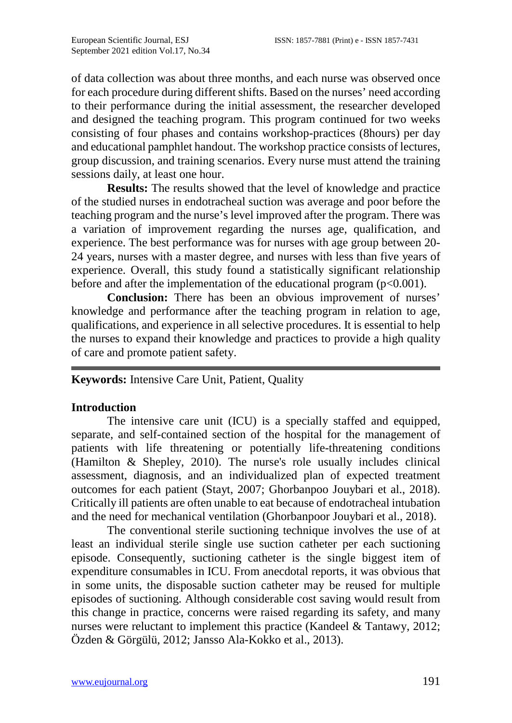of data collection was about three months, and each nurse was observed once for each procedure during different shifts. Based on the nurses' need according to their performance during the initial assessment, the researcher developed and designed the teaching program. This program continued for two weeks consisting of four phases and contains workshop-practices (8hours) per day and educational pamphlet handout. The workshop practice consists of lectures, group discussion, and training scenarios. Every nurse must attend the training sessions daily, at least one hour.

**Results:** The results showed that the level of knowledge and practice of the studied nurses in endotracheal suction was average and poor before the teaching program and the nurse's level improved after the program. There was a variation of improvement regarding the nurses age, qualification, and experience. The best performance was for nurses with age group between 20- 24 years, nurses with a master degree, and nurses with less than five years of experience. Overall, this study found a statistically significant relationship before and after the implementation of the educational program  $(p<0.001)$ .

**Conclusion:** There has been an obvious improvement of nurses' knowledge and performance after the teaching program in relation to age, qualifications, and experience in all selective procedures. It is essential to help the nurses to expand their knowledge and practices to provide a high quality of care and promote patient safety.

## **Keywords:** Intensive Care Unit, Patient, Quality

#### **Introduction**

The intensive care unit (ICU) is a specially staffed and equipped, separate, and self-contained section of the hospital for the management of patients with life threatening or potentially life-threatening conditions (Hamilton & Shepley, 2010). The nurse's role usually includes clinical assessment, diagnosis, and an individualized plan of expected treatment outcomes for each patient (Stayt, 2007; Ghorbanpoo Jouybari et al., 2018). Critically ill patients are often unable to eat because of endotracheal intubation and the need for mechanical ventilation (Ghorbanpoor Jouybari et al., 2018).

 The conventional sterile suctioning technique involves the use of at least an individual sterile single use suction catheter per each suctioning episode. Consequently, suctioning catheter is the single biggest item of expenditure consumables in ICU. From anecdotal reports, it was obvious that in some units, the disposable suction catheter may be reused for multiple episodes of suctioning. Although considerable cost saving would result from this change in practice, concerns were raised regarding its safety, and many nurses were reluctant to implement this practice (Kandeel & Tantawy, 2012; Özden & Görgülü, 2012; Jansso Ala-Kokko et al., 2013).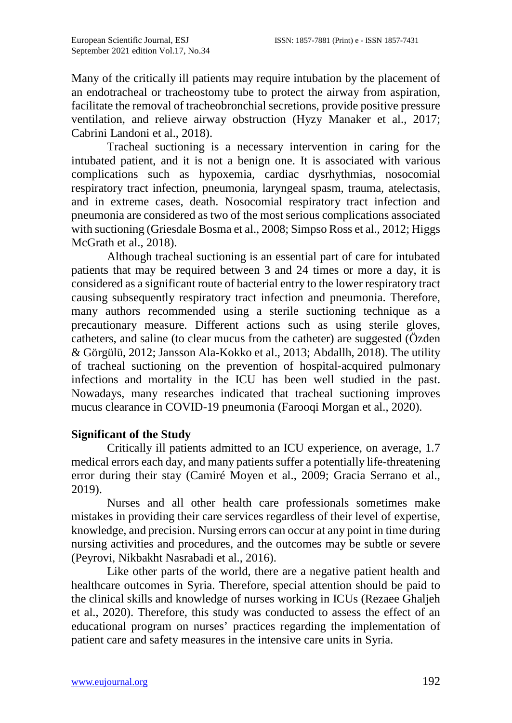Many of the critically ill patients may require intubation by the placement of an endotracheal or tracheostomy tube to protect the airway from aspiration, facilitate the removal of tracheobronchial secretions, provide positive pressure ventilation, and relieve airway obstruction (Hyzy Manaker et al., 2017; Cabrini Landoni et al., 2018).

Tracheal suctioning is a necessary intervention in caring for the intubated patient, and it is not a benign one. It is associated with various complications such as hypoxemia, cardiac dysrhythmias, nosocomial respiratory tract infection, pneumonia, laryngeal spasm, trauma, atelectasis, and in extreme cases, death. Nosocomial respiratory tract infection and pneumonia are considered as two of the most serious complications associated with suctioning (Griesdale Bosma et al., 2008; Simpso Ross et al., 2012; Higgs McGrath et al., 2018).

Although tracheal suctioning is an essential part of care for intubated patients that may be required between 3 and 24 times or more a day, it is considered as a significant route of bacterial entry to the lower respiratory tract causing subsequently respiratory tract infection and pneumonia. Therefore, many authors recommended using a sterile suctioning technique as a precautionary measure. Different actions such as using sterile gloves, catheters, and saline (to clear mucus from the catheter) are suggested (Özden & Görgülü, 2012; Jansson Ala-Kokko et al., 2013; Abdallh, 2018). The utility of tracheal suctioning on the prevention of hospital-acquired pulmonary infections and mortality in the ICU has been well studied in the past. Nowadays, many researches indicated that tracheal suctioning improves mucus clearance in COVID-19 pneumonia (Farooqi Morgan et al., 2020).

# **Significant of the Study**

Critically ill patients admitted to an ICU experience, on average, 1.7 medical errors each day, and many patients suffer a potentially life-threatening error during their stay (Camiré Moyen et al., 2009; Gracia Serrano et al., 2019).

Nurses and all other health care professionals sometimes make mistakes in providing their care services regardless of their level of expertise, knowledge, and precision. Nursing errors can occur at any point in time during nursing activities and procedures, and the outcomes may be subtle or severe (Peyrovi, Nikbakht Nasrabadi et al., 2016).

Like other parts of the world, there are a negative patient health and healthcare outcomes in Syria. Therefore, special attention should be paid to the clinical skills and knowledge of nurses working in ICUs (Rezaee Ghaljeh et al., 2020). Therefore, this study was conducted to assess the effect of an educational program on nurses' practices regarding the implementation of patient care and safety measures in the intensive care units in Syria.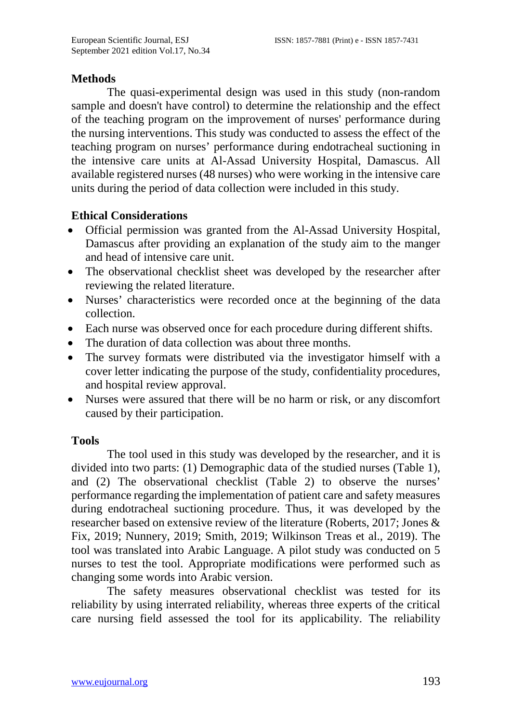## **Methods**

The quasi-experimental design was used in this study (non-random sample and doesn't have control) to determine the relationship and the effect of the teaching program on the improvement of nurses' performance during the nursing interventions. This study was conducted to assess the effect of the teaching program on nurses' performance during endotracheal suctioning in the intensive care units at Al-Assad University Hospital, Damascus. All available registered nurses (48 nurses) who were working in the intensive care units during the period of data collection were included in this study.

## **Ethical Considerations**

- Official permission was granted from the Al-Assad University Hospital, Damascus after providing an explanation of the study aim to the manger and head of intensive care unit.
- The observational checklist sheet was developed by the researcher after reviewing the related literature.
- Nurses' characteristics were recorded once at the beginning of the data collection.
- Each nurse was observed once for each procedure during different shifts.
- The duration of data collection was about three months.
- The survey formats were distributed via the investigator himself with a cover letter indicating the purpose of the study, confidentiality procedures, and hospital review approval.
- Nurses were assured that there will be no harm or risk, or any discomfort caused by their participation.

## **Tools**

The tool used in this study was developed by the researcher, and it is divided into two parts: (1) Demographic data of the studied nurses (Table 1), and (2) The observational checklist (Table 2) to observe the nurses' performance regarding the implementation of patient care and safety measures during endotracheal suctioning procedure. Thus, it was developed by the researcher based on extensive review of the literature (Roberts, 2017; Jones & Fix, 2019; Nunnery, 2019; Smith, 2019; Wilkinson Treas et al., 2019). The tool was translated into Arabic Language. A pilot study was conducted on 5 nurses to test the tool. Appropriate modifications were performed such as changing some words into Arabic version.

The safety measures observational checklist was tested for its reliability by using interrated reliability, whereas three experts of the critical care nursing field assessed the tool for its applicability. The reliability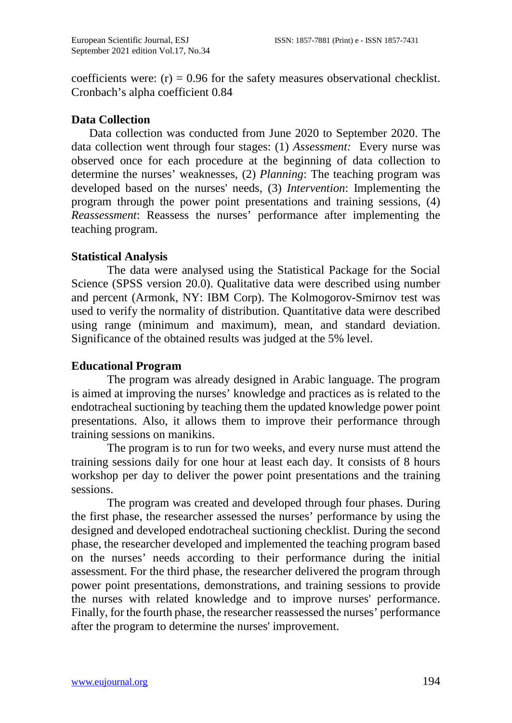coefficients were:  $(r) = 0.96$  for the safety measures observational checklist. Cronbach's alpha coefficient 0.84

## **Data Collection**

Data collection was conducted from June 2020 to September 2020. The data collection went through four stages: (1) *Assessment:* Every nurse was observed once for each procedure at the beginning of data collection to determine the nurses' weaknesses, (2) *Planning*: The teaching program was developed based on the nurses' needs, (3) *Intervention*: Implementing the program through the power point presentations and training sessions, (4) *Reassessment*: Reassess the nurses' performance after implementing the teaching program.

## **Statistical Analysis**

 The data were analysed using the Statistical Package for the Social Science (SPSS version 20.0). Qualitative data were described using number and percent (Armonk, NY: IBM Corp). The Kolmogorov-Smirnov test was used to verify the normality of distribution. Quantitative data were described using range (minimum and maximum), mean, and standard deviation. Significance of the obtained results was judged at the 5% level.

## **Educational Program**

The program was already designed in Arabic language. The program is aimed at improving the nurses' knowledge and practices as is related to the endotracheal suctioning by teaching them the updated knowledge power point presentations. Also, it allows them to improve their performance through training sessions on manikins.

The program is to run for two weeks, and every nurse must attend the training sessions daily for one hour at least each day. It consists of 8 hours workshop per day to deliver the power point presentations and the training sessions.

The program was created and developed through four phases. During the first phase, the researcher assessed the nurses' performance by using the designed and developed endotracheal suctioning checklist. During the second phase, the researcher developed and implemented the teaching program based on the nurses' needs according to their performance during the initial assessment. For the third phase, the researcher delivered the program through power point presentations, demonstrations, and training sessions to provide the nurses with related knowledge and to improve nurses' performance. Finally, for the fourth phase, the researcher reassessed the nurses' performance after the program to determine the nurses' improvement.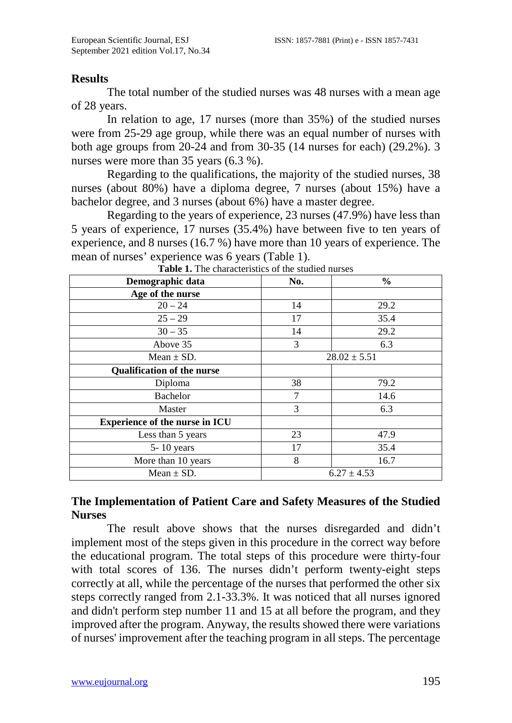#### **Results**

The total number of the studied nurses was 48 nurses with a mean age of 28 years.

In relation to age, 17 nurses (more than 35%) of the studied nurses were from 25-29 age group, while there was an equal number of nurses with both age groups from 20-24 and from 30-35 (14 nurses for each) (29.2%). 3 nurses were more than 35 years (6.3 %).

Regarding to the qualifications, the majority of the studied nurses, 38 nurses (about 80%) have a diploma degree, 7 nurses (about 15%) have a bachelor degree, and 3 nurses (about 6%) have a master degree.

Regarding to the years of experience, 23 nurses (47.9%) have less than 5 years of experience, 17 nurses (35.4%) have between five to ten years of experience, and 8 nurses (16.7 %) have more than 10 years of experience. The mean of nurses' experience was 6 years (Table 1).

| Demographic data                      | No.              | $\frac{0}{0}$   |  |  |  |
|---------------------------------------|------------------|-----------------|--|--|--|
| Age of the nurse                      |                  |                 |  |  |  |
| $20 - 24$                             | 14               | 29.2            |  |  |  |
| $25 - 29$                             | 17               | 35.4            |  |  |  |
| $30 - 35$                             | 14               | 29.2            |  |  |  |
| Above 35                              | 3                | 6.3             |  |  |  |
| Mean $\pm$ SD.                        | $28.02 \pm 5.51$ |                 |  |  |  |
| <b>Qualification of the nurse</b>     |                  |                 |  |  |  |
| Diploma                               | 38               | 79.2            |  |  |  |
| Bachelor                              | 7                | 14.6            |  |  |  |
| Master                                | 3                | 6.3             |  |  |  |
| <b>Experience of the nurse in ICU</b> |                  |                 |  |  |  |
| Less than 5 years                     | 23               | 47.9            |  |  |  |
| $5 - 10$ years                        | 17               | 35.4            |  |  |  |
| More than 10 years                    | 8                | 16.7            |  |  |  |
| Mean $\pm$ SD.                        |                  | $6.27 \pm 4.53$ |  |  |  |

**Table 1.** The characteristics of the studied nurses

# **The Implementation of Patient Care and Safety Measures of the Studied Nurses**

The result above shows that the nurses disregarded and didn't implement most of the steps given in this procedure in the correct way before the educational program. The total steps of this procedure were thirty-four with total scores of 136. The nurses didn't perform twenty-eight steps correctly at all, while the percentage of the nurses that performed the other six steps correctly ranged from 2.1-33.3%. It was noticed that all nurses ignored and didn't perform step number 11 and 15 at all before the program, and they improved after the program. Anyway, the results showed there were variations of nurses' improvement after the teaching program in all steps. The percentage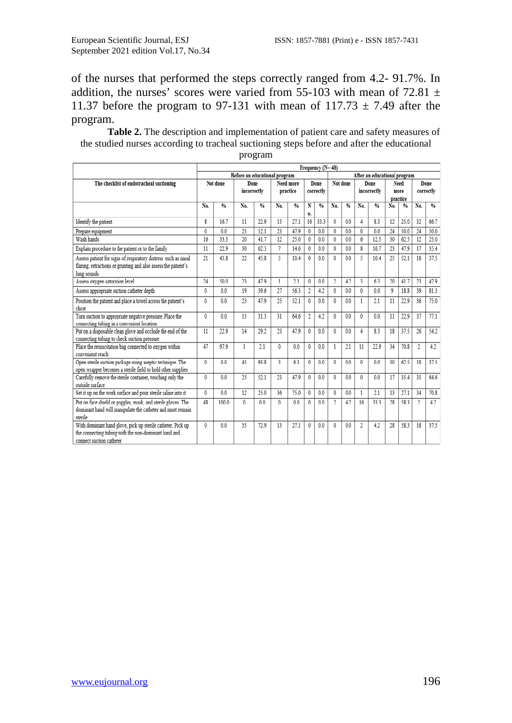of the nurses that performed the steps correctly ranged from 4.2- 91.7%. In addition, the nurses' scores were varied from 55-103 with mean of 72.81  $\pm$ 11.37 before the program to 97-131 with mean of 117.73  $\pm$  7.49 after the program.

**Table 2.** The description and implementation of patient care and safety measures of the studied nurses according to tracheal suctioning steps before and after the educational

|                                                                               | Frequency (N=48)                                              |                |              |                |              |                |              |                |                          |               |                |               |          |      |                |      |
|-------------------------------------------------------------------------------|---------------------------------------------------------------|----------------|--------------|----------------|--------------|----------------|--------------|----------------|--------------------------|---------------|----------------|---------------|----------|------|----------------|------|
|                                                                               | After an educational program<br>Before an educational program |                |              |                |              |                |              |                |                          |               |                |               |          |      |                |      |
| The checklist of endotracheal suctioning                                      |                                                               | Not done       |              | Done           |              | Need more      |              | Done           | Not done                 |               | Done           |               |          | Need | Done           |      |
|                                                                               |                                                               |                |              | incorrectly    |              | practice       |              | correctly      |                          |               | incorrectly    |               | more     |      | correctly      |      |
|                                                                               |                                                               |                |              |                |              |                |              |                |                          |               |                |               | practice |      |                |      |
|                                                                               | No.                                                           | $Q_0$          | No.          | 0/6            | No.          | 0/6            | N            | 0/6            | No.                      | $\frac{6}{6}$ | No.            | $\frac{0}{2}$ | No.      | 0/6  | No.            | 0/6  |
|                                                                               |                                                               |                |              |                |              |                | 0.           |                |                          |               |                |               |          |      |                |      |
| Identify the patient                                                          | Š.                                                            | 16.7           | 11           | 229            | 13           | 27.1           | 16           | 33.3           | 0                        | 0.0           | 4              | 83            | 12       | 25.0 | 32             | 66.7 |
| Prepare equipment                                                             | 0                                                             | 0.0            | 25           | 52.1           | 23           | 47.9           | 0            | 0.0            | 0                        | 0.0           | 0              | 0.0           | 24       | 50.0 | 24             | 50.0 |
| Wash hands                                                                    | 16                                                            | 33.3           | 20           | 41.7           | 12           | 25.0           | $\mathbf{0}$ | 0.0            | 0                        | 0.0           | 6              | 12.5          | 30       | 62.5 | 12             | 25.0 |
| Explain procedure to the patient or to the family                             | 11                                                            | 22.9           | 30           | 62.5           | 7            | 14.6           | $\mathbf{0}$ | 0.0            | 0                        | 0.0           | 8              | 16.7          | 23       | 47.9 | 17             | 35.4 |
| Assess patient for signs of respiratory distress such as nasal                | 21                                                            | 43.8           | 22           | 45.8           | 5            | 10.4           | 0            | 0.0            | 0                        | 0.0           | 5              | 10.4          | 25       | 52.1 | 18             | 37.5 |
| flaring, retractions or grunting and also assess the patient's<br>lung sounds |                                                               |                |              |                |              |                |              |                |                          |               |                |               |          |      |                |      |
| Assess oxygen saturation level                                                | 24                                                            | 50.0           | 23           | 479            | 1            | 21             | $\theta$     | 0 <sub>0</sub> | $\overline{2}$           | 42            | 3              | 63            | 20       | 41.7 | 23             | 47.9 |
| Assess appropriate suction catheter depth                                     | 0                                                             | 0.0            | 19           | 39.6           | 27           | 563            | 2            | 4.2            | 0                        | 0.0           | $\theta$       | 0.0           | 9        | 18.8 | 39             | 81.3 |
| Position the patient and place a towel across the patient's                   | 0                                                             | 0.0            | 23           | 47.9           | 25           | 52.1           | 0            | 0.0            | 0                        | 0.0           | 1              | 2.1           | 11       | 22.9 | 36             | 75.0 |
| chest                                                                         |                                                               |                |              |                |              |                |              |                |                          |               |                |               |          |      |                |      |
| Turn suction to appropriate negative pressure. Place the                      | 0                                                             | 0.0            | 15           | 313            | 31           | 646            | 2            | 4.2            | 0                        | 0.0           | 0              | 0.0           | 11       | 22.9 | 37             | 77.1 |
| connecting tubing in a convenient location                                    |                                                               |                |              |                |              |                |              |                |                          |               |                |               |          |      |                |      |
| Put on a disposable clean glove and occlude the end of the                    | 11                                                            | 22.9           | 14           | 29.2           | 23           | 47.9           | 0            | 0.0            | 0                        | 0.0           | 4              | 8.3           | 18       | 37.5 | 26             | 54.2 |
| connecting tubing to check suction pressure                                   |                                                               |                |              |                |              |                |              |                |                          |               |                |               |          |      |                |      |
| Place the resuscitation bag connected to oxygen within<br>convenient reach    | 47                                                            | 979            | 1            | 2.1            | 0            | 0 <sub>0</sub> | 0            | 0.0            | 1                        | 2.1           | 11             | 22.9          | 34       | 70.8 | 2              | 4.2  |
| Open sterile suction package using aseptic technique. The                     | 0                                                             | 0.0            | 45           | 93.8           | 3            | 63             | 0            | 0.0            | 0                        | 0.0           | 0              | 0.0           | 30       | 62.5 | 18             | 37.5 |
| open wrapper becomes a sterile field to hold other supplies                   |                                                               |                |              |                |              |                |              |                |                          |               |                |               |          |      |                |      |
| Carefully remove the sterile container, touching only the                     | 0                                                             | 0.0            | 25           | 52.1           | 23           | 47.9           | $\theta$     | 0.0            | 0                        | 0.0           | 0              | 0.0           | 17       | 35.4 | 31             | 64.6 |
| outside surface                                                               |                                                               |                |              |                |              |                |              |                |                          |               |                |               |          |      |                |      |
| Set it up on the work surface and pour sterile saline into it                 | 0                                                             | 0 <sub>0</sub> | 12           | 25.0           | 36           | 75.0           | $\theta$     | 0.0            | 0                        | 0.0           | 1              | 2.1           | 13       | 27.1 | 34             | 70.8 |
| Put on face shield or goggles, mask, and sterile gloves. The                  | 48                                                            | 1000           | $\mathbf{0}$ | 0 <sub>0</sub> | $\mathbf{0}$ | 0 <sub>0</sub> | 0            | 0 <sub>0</sub> | $\overline{\phantom{a}}$ | 42            | 16             | 333           | 28       | 583  | $\overline{2}$ | 42   |
| dominant hand will manipulate the catheter and must remain                    |                                                               |                |              |                |              |                |              |                |                          |               |                |               |          |      |                |      |
| sterile                                                                       |                                                               |                |              |                |              |                |              |                |                          |               |                |               |          |      |                |      |
| With dominant hand glove, pick up sterile catheter. Pick up                   | 0                                                             | 0.0            | 35           | 72.9           | 13           | 27.1           | $\theta$     | 0.0            | 0                        | 0.0           | $\mathfrak{2}$ | 4.2           | 28       | 58.3 | 18             | 37.5 |
| the connecting tubing with the non-dominant hand and                          |                                                               |                |              |                |              |                |              |                |                          |               |                |               |          |      |                |      |
| connect suction catheter                                                      |                                                               |                |              |                |              |                |              |                |                          |               |                |               |          |      |                |      |

program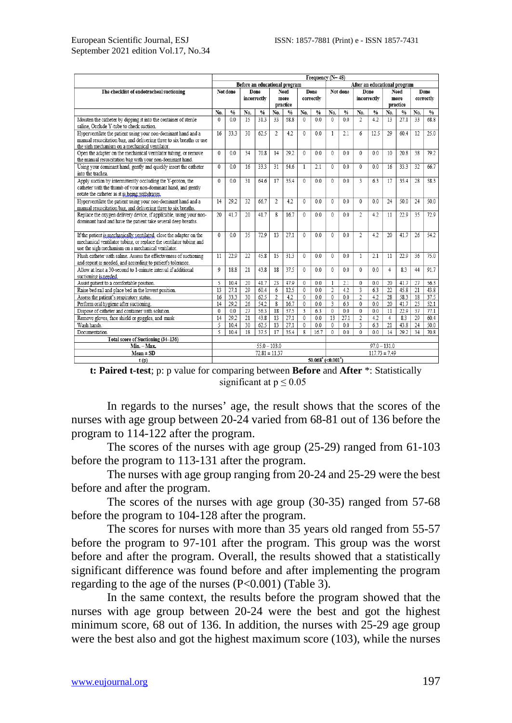|                                                                                                                              | Frequency (N=48)                                              |               |                 |                   |                   |               |                         |                |                         |               |                         |                   |                 |               |     |               |
|------------------------------------------------------------------------------------------------------------------------------|---------------------------------------------------------------|---------------|-----------------|-------------------|-------------------|---------------|-------------------------|----------------|-------------------------|---------------|-------------------------|-------------------|-----------------|---------------|-----|---------------|
|                                                                                                                              | Before an educational program<br>After an educational program |               |                 |                   |                   |               |                         |                |                         |               |                         |                   |                 |               |     |               |
| The checklist of endotracheal suctioning                                                                                     | Not done                                                      |               |                 | Done              |                   | Need          |                         | Done           | Not done                |               | Done                    |                   |                 | Need          |     | Done          |
|                                                                                                                              |                                                               |               |                 | incorrectly       | more<br>correctly |               |                         |                | incorrectly             |               | more                    |                   | correctly       |               |     |               |
|                                                                                                                              |                                                               |               |                 |                   |                   | practice      |                         |                |                         |               |                         |                   | practice        |               |     |               |
|                                                                                                                              | No.                                                           | $\frac{0}{0}$ | No.             | $\frac{0}{0}$     | No.               | $\frac{0}{0}$ | No.                     | $\%$           | No.                     | $\frac{9}{6}$ | No.                     | $\frac{0}{6}$     | No.             | $\frac{0}{0}$ | No. | $\frac{0}{6}$ |
| Moisten the catheter by dipping it into the container of sterile                                                             | $\theta$                                                      | 0.0           | 15              | 31.3              | 33                | 58.8          | $\mathbf{0}$            | 0.0            | $\mathbf{0}$            | 0.0           | $\overline{2}$          | 4.2               | 13              | 27.1          | 33  | 68.8          |
| saline, Occlude Y-tube to check suction.                                                                                     |                                                               |               |                 |                   |                   |               |                         |                |                         |               |                         |                   |                 |               |     |               |
| Hyperventilate the patient using your non-dominant hand and a                                                                | 16                                                            | 33.3          | 30              | 62.5              | $\overline{2}$    | 4.2           | $\mathbf{0}$            | 0.0            | 1                       | 2.1           | 6                       | 12.5              | 29              | 60.4          | 12  | 25.0          |
| manual resuscitation bag, and delivering three to six breaths or use                                                         |                                                               |               |                 |                   |                   |               |                         |                |                         |               |                         |                   |                 |               |     |               |
| the sigh mechanism on a mechanical ventilator.                                                                               | $\theta$                                                      |               |                 |                   |                   |               |                         |                | $\Omega$                |               |                         |                   |                 |               |     |               |
| Open the adapter on the mechanical ventilator tubing, or remove<br>the manual resuscitation bag with your non-dominant hand. |                                                               | 0.0           | 34              | 70.8              | 14                | 29.2          | $\bf{0}$                | 0.0            |                         | 0.0           | $\mathbf{0}$            | 0.0               | 10              | 20.8          | 38  | 79.2          |
| Using your dominant hand, gently and quickly insert the catheter                                                             | $\theta$                                                      | 0.0           | 16              | 33.3              | 31                | 54.6          | $\mathbf{1}$            | 2.1            | $\Omega$                | 0.0           | $\Omega$                | 0.0               | 16              | 33.3          | 32  | 66.7          |
| into the trachea.                                                                                                            |                                                               |               |                 |                   |                   |               |                         |                |                         |               |                         |                   |                 |               |     |               |
| Apply suction by intermittently occluding the Y-proton, the                                                                  | $\Omega$                                                      | 0.0           | 31              | 64.6              | 17                | 35.4          | $\mathbf 0$             | 0.0            | $\Omega$                | 0.0           | 3                       | 63                | 17              | 35.4          | 28  | 58.3          |
| catheter with the thumb of your non-dominant hand, and gently                                                                |                                                               |               |                 |                   |                   |               |                         |                |                         |               |                         |                   |                 |               |     |               |
| rotate the catheter as it is being withdrawn.                                                                                |                                                               |               |                 |                   |                   |               |                         |                |                         |               |                         |                   |                 |               |     |               |
| Hyperventilate the patient using your non-dominant hand and a                                                                | 14                                                            | 29.2          | 32              | 66.7              | $\overline{2}$    | 4.2           | $\Omega$                | 0.0            | $\Omega$                | 0.0           | $\theta$                | 0.0               | 24              | 50.0          | 24  | 50.0          |
| manual resuscitation bag, and delivering three to six breaths.                                                               |                                                               |               |                 |                   |                   |               |                         |                |                         |               |                         |                   |                 |               |     |               |
| Replace the oxygen delivery device, if applicable, using your non-                                                           | 20                                                            | 41.7          | 20              | 41.7              | 8                 | 16.7          | $\mathbf{0}$            | 0.0            | $\mathbf{0}$            | 0.0           | $\overline{2}$          | 4.2               | 11              | 22.9          | 35  | 72.9          |
| dominant hand and have the patient take several deep breaths.                                                                |                                                               |               |                 |                   |                   |               |                         |                |                         |               |                         |                   |                 |               |     |               |
|                                                                                                                              |                                                               |               |                 |                   |                   |               |                         |                |                         |               |                         |                   |                 |               |     |               |
| If the patient is mechanically ventilated, close the adapter on the                                                          | 0                                                             | 0.0           | 35              | 72.9              | 13                | 27.1          | 0                       | 0.0            | $\mathbf{0}$            | 0.0           | 2                       | 4.2               | 20              | 41.7          | 26  | 54.2          |
| mechanical ventilator tubing, or replace the ventilator tubing and                                                           |                                                               |               |                 |                   |                   |               |                         |                |                         |               |                         |                   |                 |               |     |               |
| use the sigh mechanism on a mechanical ventilator.                                                                           |                                                               |               |                 |                   |                   |               |                         |                |                         |               |                         |                   |                 |               |     |               |
| Flush catheter with saline. Assess the effectiveness of suctioning                                                           | 11                                                            | 22.9          | 22              | 45.8              | 15                | 31.3          | $\mathbf{0}$            | 0.0            | $\Omega$                | 0.0           | $\mathbf{1}$            | 2.1               | 11              | 22.9          | 36  | 75.0          |
| and repeat as needed, and according to patient's tolerance.                                                                  |                                                               |               |                 |                   |                   |               |                         |                |                         |               |                         |                   |                 |               |     |               |
| Allow at least a 30-second to 1-minute interval if additional                                                                | 0                                                             | 18.8          | 21              | 43.8              | 18                | 37.5          | $\mathbf{0}$            | 0.0            | $\mathbf{0}$            | 0.0           | $\theta$                | 0.0               | 4               | 8.3           | 44  | 91.7          |
| suctioning is needed.<br>Assist patient to a comfortable position.                                                           | 5                                                             | 10.4          | 20              | 41.7              | 23                | 47.9          | 0                       | 0.0            | $\mathbf{1}$            | 2.1           | $\mathbf 0$             | 0.0               | 20              | 41.7          | 27  | 56.3          |
| Raise bed rail and place bed in the lowest position.                                                                         | 13                                                            | 27.1          | $\overline{29}$ | 604               | 6                 | 12.5          | $\overline{0}$          | 0 <sub>0</sub> | $\overline{2}$          | 42            | $\overline{\mathbf{3}}$ | 63                | $\overline{22}$ | 458           | 21  | 43.8          |
| Assess the patient's respiratory status.                                                                                     | 16                                                            | 33.3          | 30              | 62.5              | $\overline{2}$    | 4.2           | $\overline{0}$          | 0 <sub>0</sub> | $\overline{0}$          | 0.0           | $\overline{2}$          | 4.2               | 28              | 58.3          | 18  | 37.5          |
| Perform oral hygiene after suctioning.                                                                                       | 14                                                            | 29.2          | 26              | 54.2              | 8                 | 16.7          | $\overline{0}$          | 0.0            | $\overline{\mathbf{3}}$ | 63            | 0                       | 0 <sub>0</sub>    | 20              | 41.7          | 25  | 52.1          |
| Dispose of catheter and container with solution.                                                                             | $\mathbf{0}$                                                  | 0.0           | 27              | 56.3              | 18                | 37.5          | $\overline{\mathbf{3}}$ | 6.3            | $\overline{0}$          | 0.0           | $\overline{0}$          | 0.0               | $\overline{11}$ | 22.9          | 37  | 77.1          |
| Remove gloves, face shield or goggles, and mask                                                                              | 14                                                            | 29.2          | $\overline{21}$ | 43.8              | 13                | 27.1          | $\mathbf{0}$            | 0.0            | 13                      | 27.1          | $\overline{c}$          | 4.2               | $\overline{4}$  | 8.3           | 29  | 60.4          |
| Wash hands.                                                                                                                  | 5                                                             | 10.4          | 30              | 62.5              | 13                | 27.1          | 0                       | 0.0            | $\mathbf{0}$            | 0.0           | 3                       | 6.3               | 21              | 43.8          | 24  | 50.0          |
| Documentation.                                                                                                               | 5                                                             | 10.4          | 18              | 37.5              | 17                | 35.4          | 8                       | 16.7           | $\mathbf{0}$            | 0.0           | $\theta$                | 0.0               | 14              | 29.2          | 34  | 70.8          |
| Total score of Suctioning (34-136)                                                                                           |                                                               |               |                 |                   |                   |               |                         |                |                         |               |                         |                   |                 |               |     |               |
| Min. - Max.                                                                                                                  |                                                               |               |                 | $55.0 - 103.0$    |                   |               |                         |                |                         |               |                         | $97.0 - 131.0$    |                 |               |     |               |
| $Mean \pm SD$                                                                                                                |                                                               |               |                 | $72.81 \pm 11.37$ |                   |               |                         |                |                         |               |                         | $117.73 \pm 7.49$ |                 |               |     |               |
| t(p)                                                                                                                         | $50.068'$ (<0.001 <sup>2</sup> )                              |               |                 |                   |                   |               |                         |                |                         |               |                         |                   |                 |               |     |               |

| <b>t: Paired t-test</b> ; p: p value for comparing between <b>Before</b> and <b>After</b> *: Statistically |  |
|------------------------------------------------------------------------------------------------------------|--|
| significant at $p \leq 0.05$                                                                               |  |

In regards to the nurses' age, the result shows that the scores of the nurses with age group between 20-24 varied from 68-81 out of 136 before the program to 114-122 after the program.

The scores of the nurses with age group (25-29) ranged from 61-103 before the program to 113-131 after the program.

The nurses with age group ranging from 20-24 and 25-29 were the best before and after the program.

The scores of the nurses with age group (30-35) ranged from 57-68 before the program to 104-128 after the program.

The scores for nurses with more than 35 years old ranged from 55-57 before the program to 97-101 after the program. This group was the worst before and after the program. Overall, the results showed that a statistically significant difference was found before and after implementing the program regarding to the age of the nurses (P<0.001) (Table 3).

In the same context, the results before the program showed that the nurses with age group between 20-24 were the best and got the highest minimum score, 68 out of 136. In addition, the nurses with 25-29 age group were the best also and got the highest maximum score (103), while the nurses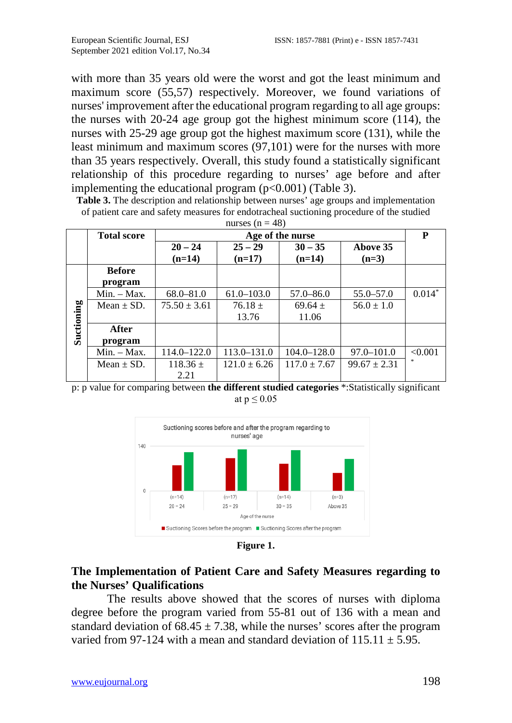with more than 35 years old were the worst and got the least minimum and maximum score (55,57) respectively. Moreover, we found variations of nurses' improvement after the educational program regarding to all age groups: the nurses with 20-24 age group got the highest minimum score (114), the nurses with 25-29 age group got the highest maximum score (131), while the least minimum and maximum scores (97,101) were for the nurses with more than 35 years respectively. Overall, this study found a statistically significant relationship of this procedure regarding to nurses' age before and after implementing the educational program  $(p<0.001)$  (Table 3).

**Table 3.** The description and relationship between nurses' age groups and implementation of patient care and safety measures for endotracheal suctioning procedure of the studied  $m_{2000} (n - 40)$ 

|            | <b>Total score</b> | Age of the nurse |                  |                  |                  |          |  |  |  |  |  |
|------------|--------------------|------------------|------------------|------------------|------------------|----------|--|--|--|--|--|
|            |                    | $20 - 24$        | $25 - 29$        | $30 - 35$        | Above 35         |          |  |  |  |  |  |
|            |                    | $(n=14)$         | $(n=17)$         | $(n=14)$         | $(n=3)$          |          |  |  |  |  |  |
|            | <b>Before</b>      |                  |                  |                  |                  |          |  |  |  |  |  |
|            | program            |                  |                  |                  |                  |          |  |  |  |  |  |
|            | $Min. - Max.$      | $68.0 - 81.0$    | $61.0 - 103.0$   | $57.0 - 86.0$    | $55.0 - 57.0$    | $0.014*$ |  |  |  |  |  |
|            | Mean $\pm$ SD.     | $75.50 \pm 3.61$ | $76.18 \pm$      | $69.64 \pm$      | $56.0 \pm 1.0$   |          |  |  |  |  |  |
| Suctioning |                    |                  | 13.76            | 11.06            |                  |          |  |  |  |  |  |
|            | After              |                  |                  |                  |                  |          |  |  |  |  |  |
|            | program            |                  |                  |                  |                  |          |  |  |  |  |  |
|            | $Min. - Max.$      | 114.0-122.0      | 113.0-131.0      | $104.0 - 128.0$  | 97.0-101.0       | < 0.001  |  |  |  |  |  |
|            | Mean $\pm$ SD.     | $118.36 \pm$     | $121.0 \pm 6.26$ | $117.0 \pm 7.67$ | $99.67 \pm 2.31$ |          |  |  |  |  |  |
|            |                    | 2.21             |                  |                  |                  |          |  |  |  |  |  |

p: p value for comparing between **the different studied categories** \*:Statistically significant at  $p \leq 0.05$ 



**Figure 1.**

## **The Implementation of Patient Care and Safety Measures regarding to the Nurses' Qualifications**

The results above showed that the scores of nurses with diploma degree before the program varied from 55-81 out of 136 with a mean and standard deviation of  $68.45 \pm 7.38$ , while the nurses' scores after the program varied from 97-124 with a mean and standard deviation of  $115.11 \pm 5.95$ .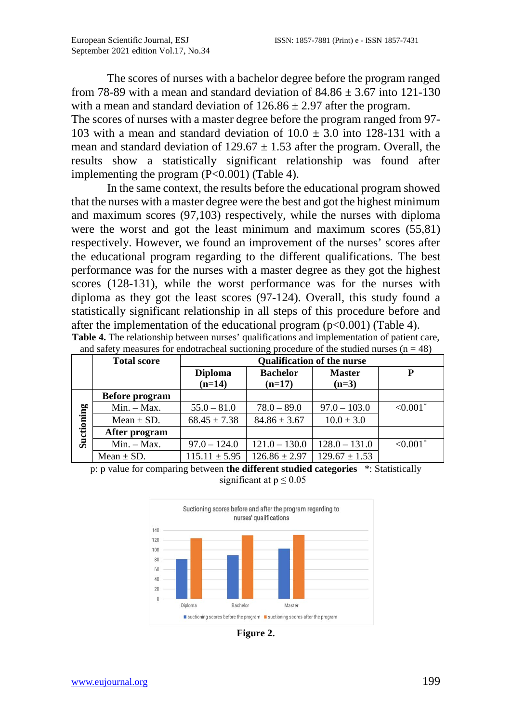The scores of nurses with a bachelor degree before the program ranged from 78-89 with a mean and standard deviation of  $84.86 \pm 3.67$  into 121-130 with a mean and standard deviation of  $126.86 \pm 2.97$  after the program.

The scores of nurses with a master degree before the program ranged from 97- 103 with a mean and standard deviation of  $10.0 \pm 3.0$  into 128-131 with a mean and standard deviation of  $129.67 \pm 1.53$  after the program. Overall, the results show a statistically significant relationship was found after implementing the program  $(P<0.001)$  (Table 4).

In the same context, the results before the educational program showed that the nurses with a master degree were the best and got the highest minimum and maximum scores (97,103) respectively, while the nurses with diploma were the worst and got the least minimum and maximum scores (55,81) respectively. However, we found an improvement of the nurses' scores after the educational program regarding to the different qualifications. The best performance was for the nurses with a master degree as they got the highest scores (128-131), while the worst performance was for the nurses with diploma as they got the least scores (97-124). Overall, this study found a statistically significant relationship in all steps of this procedure before and after the implementation of the educational program  $(p<0.001)$  (Table 4).

|            | and safety ineasures for endotractical suctioning procedure of the studied nurses $(n = 40)$ |                                   |                   |                   |                        |  |  |  |  |  |  |  |
|------------|----------------------------------------------------------------------------------------------|-----------------------------------|-------------------|-------------------|------------------------|--|--|--|--|--|--|--|
|            | <b>Total score</b>                                                                           | <b>Qualification of the nurse</b> |                   |                   |                        |  |  |  |  |  |  |  |
|            |                                                                                              | <b>Diploma</b>                    | <b>Bachelor</b>   | <b>Master</b>     | P                      |  |  |  |  |  |  |  |
|            |                                                                                              | $(n=14)$                          | $(n=17)$          | $(n=3)$           |                        |  |  |  |  |  |  |  |
|            | Before program                                                                               |                                   |                   |                   |                        |  |  |  |  |  |  |  |
|            | $Min. - Max.$                                                                                | $55.0 - 81.0$                     | $78.0 - 89.0$     | $97.0 - 103.0$    | $< 0.001$ *            |  |  |  |  |  |  |  |
|            | Mean $\pm$ SD.                                                                               | $68.45 \pm 7.38$                  | $84.86 \pm 3.67$  | $10.0 \pm 3.0$    |                        |  |  |  |  |  |  |  |
| Suctioning | After program                                                                                |                                   |                   |                   |                        |  |  |  |  |  |  |  |
|            | $Min. - Max.$                                                                                | $97.0 - 124.0$                    | $121.0 - 130.0$   | $128.0 - 131.0$   | $< 0.001$ <sup>*</sup> |  |  |  |  |  |  |  |
|            | Mean $\pm$ SD.                                                                               | $115.11 \pm 5.95$                 | $126.86 \pm 2.97$ | $129.67 \pm 1.53$ |                        |  |  |  |  |  |  |  |

**Table 4.** The relationship between nurses' qualifications and implementation of patient care, and safety measures for endotracheal suctioning procedure of the studied nurses  $(n - 48)$ 

p: p value for comparing between **the different studied categories** \*: Statistically significant at  $p \le 0.05$ 



**Figure 2.**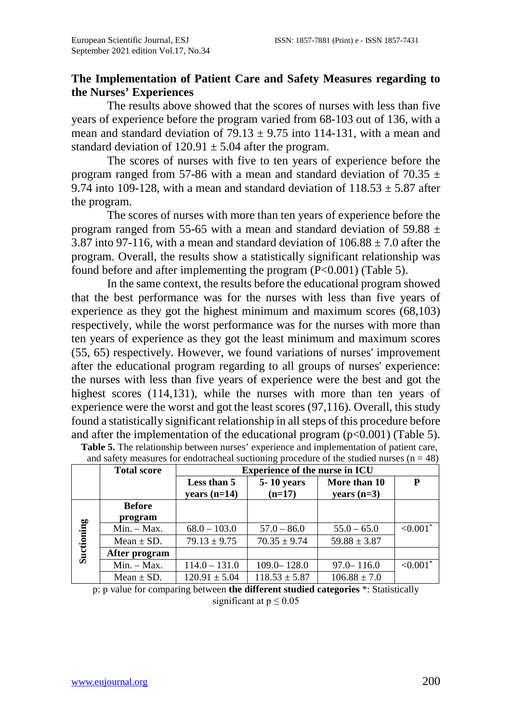## **The Implementation of Patient Care and Safety Measures regarding to the Nurses' Experiences**

The results above showed that the scores of nurses with less than five years of experience before the program varied from 68-103 out of 136, with a mean and standard deviation of  $79.13 \pm 9.75$  into 114-131, with a mean and standard deviation of  $120.91 \pm 5.04$  after the program.

The scores of nurses with five to ten years of experience before the program ranged from 57-86 with a mean and standard deviation of 70.35  $\pm$ 9.74 into 109-128, with a mean and standard deviation of  $118.53 \pm 5.87$  after the program.

The scores of nurses with more than ten years of experience before the program ranged from 55-65 with a mean and standard deviation of 59.88  $\pm$ 3.87 into 97-116, with a mean and standard deviation of  $106.88 \pm 7.0$  after the program. Overall, the results show a statistically significant relationship was found before and after implementing the program (P<0.001) (Table 5).

In the same context, the results before the educational program showed that the best performance was for the nurses with less than five years of experience as they got the highest minimum and maximum scores (68,103) respectively, while the worst performance was for the nurses with more than ten years of experience as they got the least minimum and maximum scores (55, 65) respectively. However, we found variations of nurses' improvement after the educational program regarding to all groups of nurses' experience: the nurses with less than five years of experience were the best and got the highest scores (114,131), while the nurses with more than ten years of experience were the worst and got the least scores (97,116). Overall, this study found a statistically significant relationship in all steps of this procedure before and after the implementation of the educational program  $(p<0.001)$  (Table 5). **Table 5.** The relationship between nurses' experience and implementation of patient care,

|            | <b>Total score</b> | <b>Experience of the nurse in ICU</b> |                        |                               |                        |  |  |  |  |  |  |  |
|------------|--------------------|---------------------------------------|------------------------|-------------------------------|------------------------|--|--|--|--|--|--|--|
|            |                    | Less than 5<br>years $(n=14)$         | 5-10 years<br>$(n=17)$ | More than 10<br>years $(n=3)$ | P                      |  |  |  |  |  |  |  |
|            | <b>Before</b>      |                                       |                        |                               |                        |  |  |  |  |  |  |  |
|            | program            |                                       |                        |                               |                        |  |  |  |  |  |  |  |
|            | $Min. - Max.$      | $68.0 - 103.0$                        | $57.0 - 86.0$          | $55.0 - 65.0$                 | $< 0.001$ <sup>*</sup> |  |  |  |  |  |  |  |
| Suctioning | Mean $\pm$ SD.     | $79.13 \pm 9.75$                      | $70.35 \pm 9.74$       | $59.88 \pm 3.87$              |                        |  |  |  |  |  |  |  |
|            | After program      |                                       |                        |                               |                        |  |  |  |  |  |  |  |
|            | $Min. - Max.$      | $114.0 - 131.0$                       | $109.0 - 128.0$        | $97.0 - 116.0$                | ${<}0.001*$            |  |  |  |  |  |  |  |
|            | Mean $\pm$ SD.     | $120.91 \pm 5.04$                     | $118.53 \pm 5.87$      | $106.88 \pm 7.0$              |                        |  |  |  |  |  |  |  |

and safety measures for endotracheal suctioning procedure of the studied nurses  $(n = 48)$ 

p: p value for comparing between **the different studied categories** \*: Statistically significant at  $p \leq 0.05$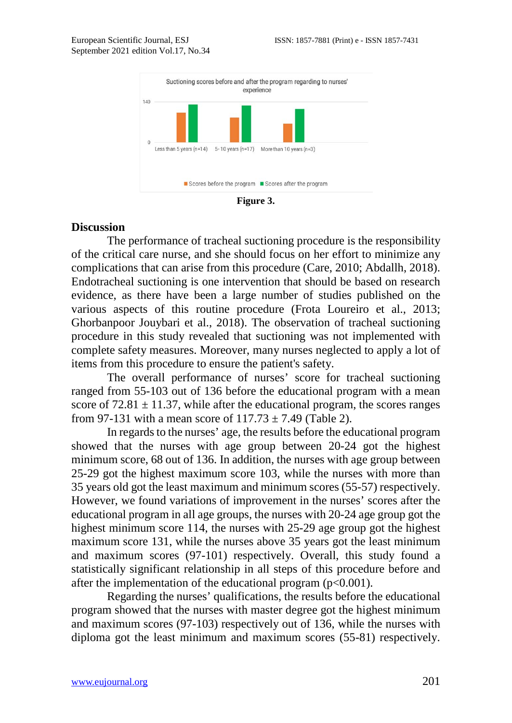

**Figure 3.**

#### **Discussion**

The performance of tracheal suctioning procedure is the responsibility of the critical care nurse, and she should focus on her effort to minimize any complications that can arise from this procedure (Care, 2010; Abdallh, 2018). Endotracheal suctioning is one intervention that should be based on research evidence, as there have been a large number of studies published on the various aspects of this routine procedure (Frota Loureiro et al., 2013; Ghorbanpoor Jouybari et al., 2018). The observation of tracheal suctioning procedure in this study revealed that suctioning was not implemented with complete safety measures. Moreover, many nurses neglected to apply a lot of items from this procedure to ensure the patient's safety.

The overall performance of nurses' score for tracheal suctioning ranged from 55-103 out of 136 before the educational program with a mean score of  $72.81 \pm 11.37$ , while after the educational program, the scores ranges from 97-131 with a mean score of  $117.73 \pm 7.49$  (Table 2).

In regards to the nurses' age, the results before the educational program showed that the nurses with age group between 20-24 got the highest minimum score, 68 out of 136. In addition, the nurses with age group between 25-29 got the highest maximum score 103, while the nurses with more than 35 years old got the least maximum and minimum scores (55-57) respectively. However, we found variations of improvement in the nurses' scores after the educational program in all age groups, the nurses with 20-24 age group got the highest minimum score 114, the nurses with 25-29 age group got the highest maximum score 131, while the nurses above 35 years got the least minimum and maximum scores (97-101) respectively. Overall, this study found a statistically significant relationship in all steps of this procedure before and after the implementation of the educational program  $(p<0.001)$ .

Regarding the nurses' qualifications, the results before the educational program showed that the nurses with master degree got the highest minimum and maximum scores (97-103) respectively out of 136, while the nurses with diploma got the least minimum and maximum scores (55-81) respectively.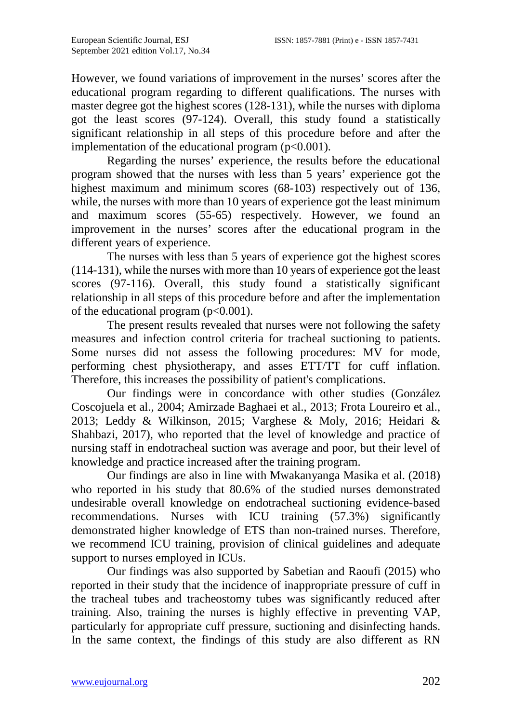However, we found variations of improvement in the nurses' scores after the educational program regarding to different qualifications. The nurses with master degree got the highest scores (128-131), while the nurses with diploma got the least scores (97-124). Overall, this study found a statistically significant relationship in all steps of this procedure before and after the implementation of the educational program  $(p<0.001)$ .

Regarding the nurses' experience, the results before the educational program showed that the nurses with less than 5 years' experience got the highest maximum and minimum scores (68-103) respectively out of 136, while, the nurses with more than 10 years of experience got the least minimum and maximum scores (55-65) respectively. However, we found an improvement in the nurses' scores after the educational program in the different years of experience.

The nurses with less than 5 years of experience got the highest scores (114-131), while the nurses with more than 10 years of experience got the least scores (97-116). Overall, this study found a statistically significant relationship in all steps of this procedure before and after the implementation of the educational program  $(p<0.001)$ .

The present results revealed that nurses were not following the safety measures and infection control criteria for tracheal suctioning to patients. Some nurses did not assess the following procedures: MV for mode, performing chest physiotherapy, and asses ETT/TT for cuff inflation. Therefore, this increases the possibility of patient's complications.

Our findings were in concordance with other studies (González Coscojuela et al., 2004; Amirzade Baghaei et al., 2013; Frota Loureiro et al., 2013; Leddy & Wilkinson, 2015; Varghese & Moly, 2016; Heidari & Shahbazi, 2017), who reported that the level of knowledge and practice of nursing staff in endotracheal suction was average and poor, but their level of knowledge and practice increased after the training program.

Our findings are also in line with Mwakanyanga Masika et al. (2018) who reported in his study that 80.6% of the studied nurses demonstrated undesirable overall knowledge on endotracheal suctioning evidence-based recommendations. Nurses with ICU training (57.3%) significantly demonstrated higher knowledge of ETS than non-trained nurses. Therefore, we recommend ICU training, provision of clinical guidelines and adequate support to nurses employed in ICUs.

Our findings was also supported by Sabetian and Raoufi (2015) who reported in their study that the incidence of inappropriate pressure of cuff in the tracheal tubes and tracheostomy tubes was significantly reduced after training. Also, training the nurses is highly effective in preventing VAP, particularly for appropriate cuff pressure, suctioning and disinfecting hands. In the same context, the findings of this study are also different as RN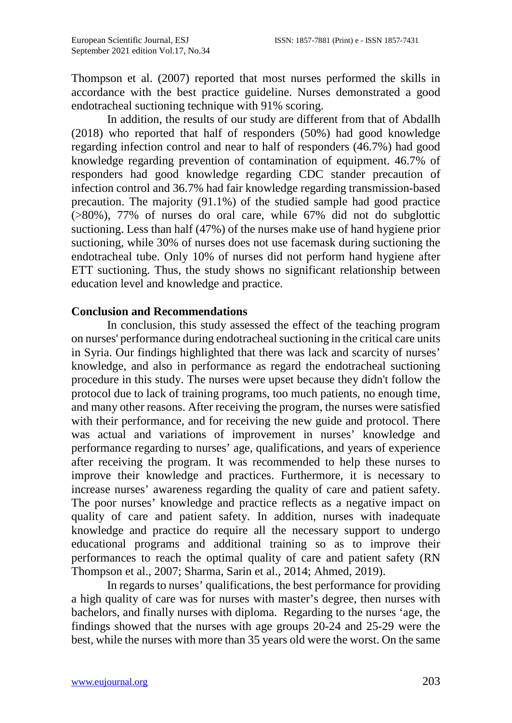Thompson et al. (2007) reported that most nurses performed the skills in accordance with the best practice guideline. Nurses demonstrated a good endotracheal suctioning technique with 91% scoring.

In addition, the results of our study are different from that of Abdallh (2018) who reported that half of responders (50%) had good knowledge regarding infection control and near to half of responders (46.7%) had good knowledge regarding prevention of contamination of equipment. 46.7% of responders had good knowledge regarding CDC stander precaution of infection control and 36.7% had fair knowledge regarding transmission-based precaution. The majority (91.1%) of the studied sample had good practice (>80%), 77% of nurses do oral care, while 67% did not do subglottic suctioning. Less than half (47%) of the nurses make use of hand hygiene prior suctioning, while 30% of nurses does not use facemask during suctioning the endotracheal tube. Only 10% of nurses did not perform hand hygiene after ETT suctioning. Thus, the study shows no significant relationship between education level and knowledge and practice.

#### **Conclusion and Recommendations**

In conclusion, this study assessed the effect of the teaching program on nurses' performance during endotracheal suctioning in the critical care units in Syria. Our findings highlighted that there was lack and scarcity of nurses' knowledge, and also in performance as regard the endotracheal suctioning procedure in this study. The nurses were upset because they didn't follow the protocol due to lack of training programs, too much patients, no enough time, and many other reasons. After receiving the program, the nurses were satisfied with their performance, and for receiving the new guide and protocol. There was actual and variations of improvement in nurses' knowledge and performance regarding to nurses' age, qualifications, and years of experience after receiving the program. It was recommended to help these nurses to improve their knowledge and practices. Furthermore, it is necessary to increase nurses' awareness regarding the quality of care and patient safety. The poor nurses' knowledge and practice reflects as a negative impact on quality of care and patient safety. In addition, nurses with inadequate knowledge and practice do require all the necessary support to undergo educational programs and additional training so as to improve their performances to reach the optimal quality of care and patient safety (RN Thompson et al., 2007; Sharma, Sarin et al., 2014; Ahmed, 2019).

In regards to nurses' qualifications, the best performance for providing a high quality of care was for nurses with master's degree, then nurses with bachelors, and finally nurses with diploma. Regarding to the nurses 'age, the findings showed that the nurses with age groups 20-24 and 25-29 were the best, while the nurses with more than 35 years old were the worst. On the same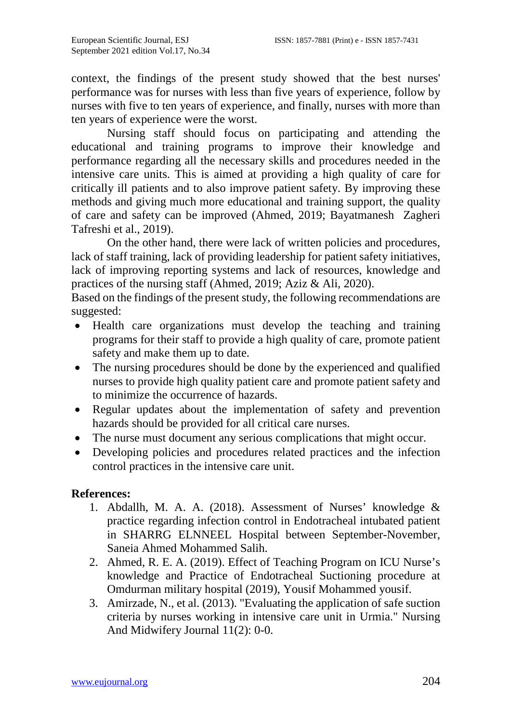context, the findings of the present study showed that the best nurses' performance was for nurses with less than five years of experience, follow by nurses with five to ten years of experience, and finally, nurses with more than ten years of experience were the worst.

Nursing staff should focus on participating and attending the educational and training programs to improve their knowledge and performance regarding all the necessary skills and procedures needed in the intensive care units. This is aimed at providing a high quality of care for critically ill patients and to also improve patient safety. By improving these methods and giving much more educational and training support, the quality of care and safety can be improved (Ahmed, 2019; Bayatmanesh Zagheri Tafreshi et al., 2019).

On the other hand, there were lack of written policies and procedures, lack of staff training, lack of providing leadership for patient safety initiatives, lack of improving reporting systems and lack of resources, knowledge and practices of the nursing staff (Ahmed, 2019; Aziz & Ali, 2020).

Based on the findings of the present study, the following recommendations are suggested:

- Health care organizations must develop the teaching and training programs for their staff to provide a high quality of care, promote patient safety and make them up to date.
- The nursing procedures should be done by the experienced and qualified nurses to provide high quality patient care and promote patient safety and to minimize the occurrence of hazards.
- Regular updates about the implementation of safety and prevention hazards should be provided for all critical care nurses.
- The nurse must document any serious complications that might occur.
- Developing policies and procedures related practices and the infection control practices in the intensive care unit.

# **References:**

- 1. Abdallh, M. A. A. (2018). Assessment of Nurses' knowledge & practice regarding infection control in Endotracheal intubated patient in SHARRG ELNNEEL Hospital between September-November, Saneia Ahmed Mohammed Salih.
- 2. Ahmed, R. E. A. (2019). Effect of Teaching Program on ICU Nurse's knowledge and Practice of Endotracheal Suctioning procedure at Omdurman military hospital (2019), Yousif Mohammed yousif.
- 3. Amirzade, N., et al. (2013). "Evaluating the application of safe suction criteria by nurses working in intensive care unit in Urmia." Nursing And Midwifery Journal 11(2): 0-0.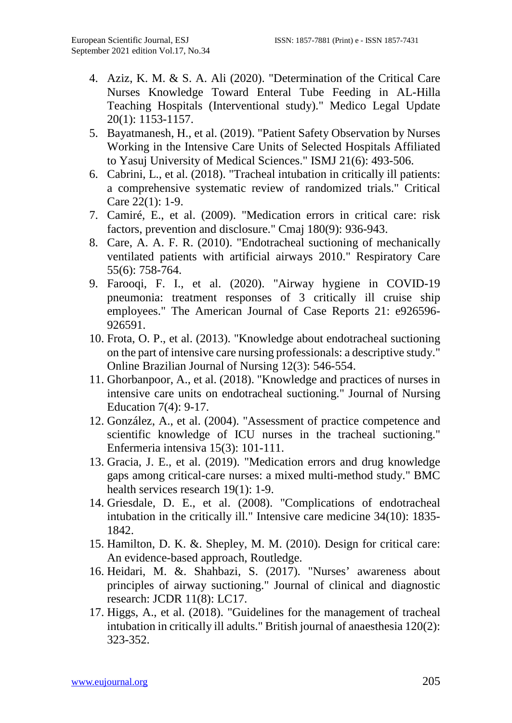- 4. Aziz, K. M. & S. A. Ali (2020). "Determination of the Critical Care Nurses Knowledge Toward Enteral Tube Feeding in AL-Hilla Teaching Hospitals (Interventional study)." Medico Legal Update 20(1): 1153-1157.
- 5. Bayatmanesh, H., et al. (2019). "Patient Safety Observation by Nurses Working in the Intensive Care Units of Selected Hospitals Affiliated to Yasuj University of Medical Sciences." ISMJ 21(6): 493-506.
- 6. Cabrini, L., et al. (2018). "Tracheal intubation in critically ill patients: a comprehensive systematic review of randomized trials." Critical Care 22(1): 1-9.
- 7. Camiré, E., et al. (2009). "Medication errors in critical care: risk factors, prevention and disclosure." Cmaj 180(9): 936-943.
- 8. Care, A. A. F. R. (2010). "Endotracheal suctioning of mechanically ventilated patients with artificial airways 2010." Respiratory Care 55(6): 758-764.
- 9. Farooqi, F. I., et al. (2020). "Airway hygiene in COVID-19 pneumonia: treatment responses of 3 critically ill cruise ship employees." The American Journal of Case Reports 21: e926596- 926591.
- 10. Frota, O. P., et al. (2013). "Knowledge about endotracheal suctioning on the part of intensive care nursing professionals: a descriptive study." Online Brazilian Journal of Nursing 12(3): 546-554.
- 11. Ghorbanpoor, A., et al. (2018). "Knowledge and practices of nurses in intensive care units on endotracheal suctioning." Journal of Nursing Education 7(4): 9-17.
- 12. González, A., et al. (2004). "Assessment of practice competence and scientific knowledge of ICU nurses in the tracheal suctioning." Enfermeria intensiva 15(3): 101-111.
- 13. Gracia, J. E., et al. (2019). "Medication errors and drug knowledge gaps among critical-care nurses: a mixed multi-method study." BMC health services research 19(1): 1-9.
- 14. Griesdale, D. E., et al. (2008). "Complications of endotracheal intubation in the critically ill." Intensive care medicine 34(10): 1835- 1842.
- 15. Hamilton, D. K. &. Shepley, M. M. (2010). Design for critical care: An evidence-based approach, Routledge.
- 16. Heidari, M. &. Shahbazi, S. (2017). "Nurses' awareness about principles of airway suctioning." Journal of clinical and diagnostic research: JCDR 11(8): LC17.
- 17. Higgs, A., et al. (2018). "Guidelines for the management of tracheal intubation in critically ill adults." British journal of anaesthesia 120(2): 323-352.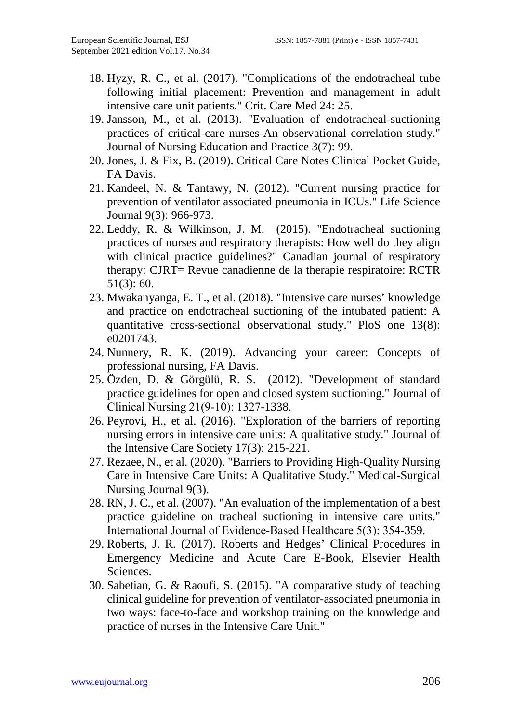- 18. Hyzy, R. C., et al. (2017). "Complications of the endotracheal tube following initial placement: Prevention and management in adult intensive care unit patients." Crit. Care Med 24: 25.
- 19. Jansson, M., et al. (2013). "Evaluation of endotracheal-suctioning practices of critical-care nurses-An observational correlation study." Journal of Nursing Education and Practice 3(7): 99.
- 20. Jones, J. & Fix, B. (2019). Critical Care Notes Clinical Pocket Guide, FA Davis.
- 21. Kandeel, N. & Tantawy, N. (2012). "Current nursing practice for prevention of ventilator associated pneumonia in ICUs." Life Science Journal 9(3): 966-973.
- 22. Leddy, R. & Wilkinson, J. M. (2015). "Endotracheal suctioning practices of nurses and respiratory therapists: How well do they align with clinical practice guidelines?" Canadian journal of respiratory therapy: CJRT= Revue canadienne de la therapie respiratoire: RCTR 51(3): 60.
- 23. Mwakanyanga, E. T., et al. (2018). "Intensive care nurses' knowledge and practice on endotracheal suctioning of the intubated patient: A quantitative cross-sectional observational study." PloS one 13(8): e0201743.
- 24. Nunnery, R. K. (2019). Advancing your career: Concepts of professional nursing, FA Davis.
- 25. Özden, D. & Görgülü, R. S. (2012). "Development of standard practice guidelines for open and closed system suctioning." Journal of Clinical Nursing 21(9‐10): 1327-1338.
- 26. Peyrovi, H., et al. (2016). "Exploration of the barriers of reporting nursing errors in intensive care units: A qualitative study." Journal of the Intensive Care Society 17(3): 215-221.
- 27. Rezaee, N., et al. (2020). "Barriers to Providing High-Quality Nursing Care in Intensive Care Units: A Qualitative Study." Medical-Surgical Nursing Journal 9(3).
- 28. RN, J. C., et al. (2007). "An evaluation of the implementation of a best practice guideline on tracheal suctioning in intensive care units." International Journal of Evidence-Based Healthcare 5(3): 354-359.
- 29. Roberts, J. R. (2017). Roberts and Hedges' Clinical Procedures in Emergency Medicine and Acute Care E-Book, Elsevier Health Sciences.
- 30. Sabetian, G. & Raoufi, S. (2015). "A comparative study of teaching clinical guideline for prevention of ventilator-associated pneumonia in two ways: face-to-face and workshop training on the knowledge and practice of nurses in the Intensive Care Unit."